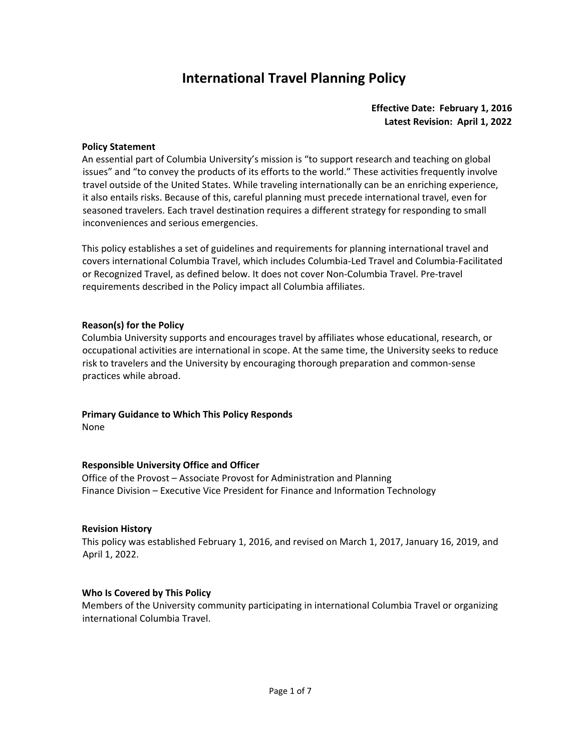## **International Travel Planning Policy**

## **Effective Date: February 1, 2016 Latest Revision: April 1, 2022**

#### **Policy Statement**

An essential part of Columbia University's mission is "to support research and teaching on global issues" and "to convey the products of its efforts to the world." These activities frequently involve travel outside of the United States. While traveling internationally can be an enriching experience, it also entails risks. Because of this, careful planning must precede international travel, even for seasoned travelers. Each travel destination requires a different strategy for responding to small inconveniences and serious emergencies.

This policy establishes a set of guidelines and requirements for planning international travel and covers international Columbia Travel, which includes Columbia-Led Travel and Columbia-Facilitated or Recognized Travel, as defined below. It does not cover Non-Columbia Travel. Pre-travel requirements described in the Policy impact all Columbia affiliates.

#### **Reason(s) for the Policy**

Columbia University supports and encourages travel by affiliates whose educational, research, or occupational activities are international in scope. At the same time, the University seeks to reduce risk to travelers and the University by encouraging thorough preparation and common-sense practices while abroad.

# **Primary Guidance to Which This Policy Responds**

None

## **Responsible University Office and Officer**

Office of the Provost – Associate Provost for Administration and Planning Finance Division – Executive Vice President for Finance and Information Technology

#### **Revision History**

This policy was established February 1, 2016, and revised on March 1, 2017, January 16, 2019, and April 1, 2022.

#### **Who Is Covered by This Policy**

Members of the University community participating in international Columbia Travel or organizing international Columbia Travel.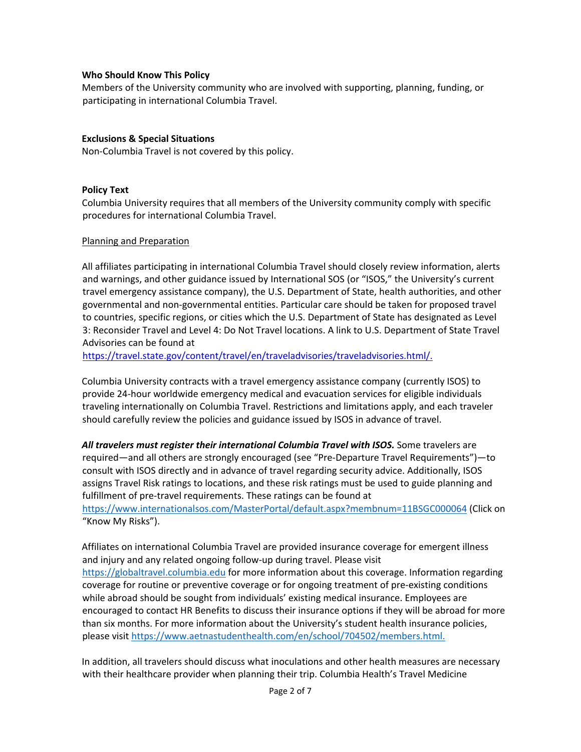#### **Who Should Know This Policy**

Members of the University community who are involved with supporting, planning, funding, or participating in international Columbia Travel.

#### **Exclusions & Special Situations**

Non-Columbia Travel is not covered by this policy.

#### **Policy Text**

Columbia University requires that all members of the University community comply with specific procedures for international Columbia Travel.

#### Planning and Preparation

All affiliates participating in international Columbia Travel should closely review information, alerts and warnings, and other guidance issued by International SOS (or "ISOS," the University's current travel emergency assistance company), the U.S. Department of State, health authorities, and other governmental and non-governmental entities. Particular care should be taken for proposed travel to countries, specific regions, or cities which the U.S. Department of State has designated as Level 3: Reconsider Travel and Level 4: Do Not Travel locations. A link to U.S. Department of State Travel Advisories can be found at

[https://travel.state.gov/content/travel/en/traveladvisories/traveladvisories.html/.](https://travel.state.gov/content/travel/en/traveladvisories/traveladvisories.html/)

Columbia University contracts with a travel emergency assistance company (currently ISOS) to provide 24-hour worldwide emergency medical and evacuation services for eligible individuals traveling internationally on Columbia Travel. Restrictions and limitations apply, and each traveler should carefully review the policies and guidance issued by ISOS in advance of travel.

*All travelers must register their international Columbia Travel with ISOS.* Some travelers are required—and all others are strongly encouraged (see "Pre-Departure Travel Requirements")—to consult with ISOS directly and in advance of travel regarding security advice. Additionally, ISOS assigns Travel Risk ratings to locations, and these risk ratings must be used to guide planning and fulfillment of pre-travel requirements. These ratings can be found at <https://www.internationalsos.com/MasterPortal/default.aspx?membnum=11BSGC000064> (Click on "Know My Risks").

Affiliates on international Columbia Travel are provided insurance coverage for emergent illness and injury and any related ongoing follow-up during travel. Please visit [https://globaltravel.columbia.edu](https://globaltravel.columbia.edu/) for more information about this coverage. Information regarding coverage for routine or preventive coverage or for ongoing treatment of pre-existing conditions while abroad should be sought from individuals' existing medical insurance. Employees are encouraged to contact HR Benefits to discuss their insurance options if they will be abroad for more than six months. For more information about the University's student health insurance policies, please visi[t https://www.aetnastudenthealth.com/en/school/704502/members.html.](https://www.aetnastudenthealth.com/en/school/704502/members.html)

In addition, all travelers should discuss what inoculations and other health measures are necessary with their healthcare provider when planning their trip. Columbia Health's Travel Medicine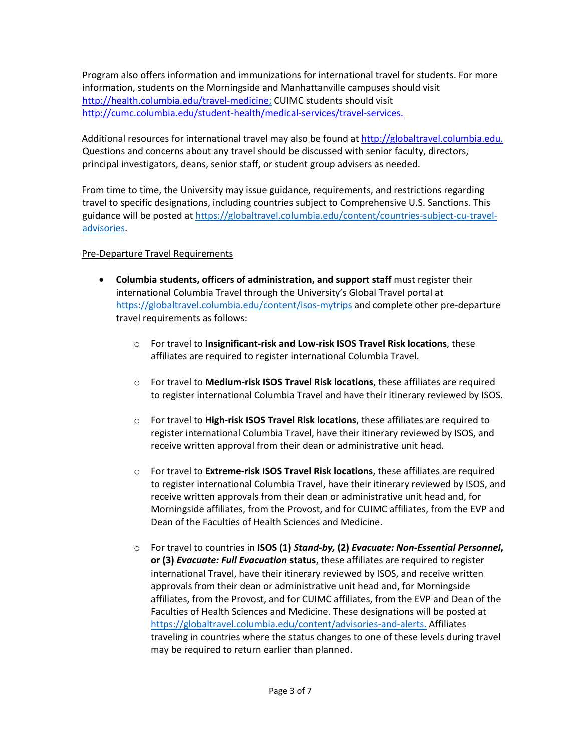Program also offers information and immunizations for international travel for students. For more information, students on the Morningside and Manhattanville campuses should visit <http://health.columbia.edu/travel-medicine>[;](file://c-gp2.ais.columbia.edu/grp2/UnivProvost/309H/International%20Travel/University%20Travel%20Policy/International%20Travel%20Planning%20Policy%20-%20effective%202.1.16/2022%20revisions/;) CUIMC students should vis[it](http://cumc.columbia.edu/student-health/medical-services/travel-services)  [http://cumc.columbia.edu/student-health/medical-services/travel-services.](http://cumc.columbia.edu/student-health/medical-services/travel-services)

Additional resources for international travel may also be found at [http://globaltravel.columbia.edu.](http://globaltravel.columbia.edu/) Questions and concerns about any travel should be discussed with senior faculty, directors, principal investigators, deans, senior staff, or student group advisers as needed.

From time to time, the University may issue guidance, requirements, and restrictions regarding travel to specific designations, including countries subject to Comprehensive U.S. Sanctions. This guidance will be posted at [https://globaltravel.columbia.edu/content/countries-subject-cu-travel](https://globaltravel.columbia.edu/content/countries-subject-cu-travel-advisories)[advisories.](https://globaltravel.columbia.edu/content/countries-subject-cu-travel-advisories)

## Pre-Departure Travel Requirements

- **Columbia students, officers of administration, and support staff** must register their international Columbia Travel through the University's Global Travel portal at <https://globaltravel.columbia.edu/content/isos-mytrips> and complete other pre-departure travel requirements as follows:
	- o For travel to **Insignificant-risk and Low-risk ISOS Travel Risk locations**, these affiliates are required to register international Columbia Travel.
	- o For travel to **Medium-risk ISOS Travel Risk locations**, these affiliates are required to register international Columbia Travel and have their itinerary reviewed by ISOS.
	- o For travel to **High-risk ISOS Travel Risk locations**, these affiliates are required to register international Columbia Travel, have their itinerary reviewed by ISOS, and receive written approval from their dean or administrative unit head.
	- o For travel to **Extreme-risk ISOS Travel Risk locations**, these affiliates are required to register international Columbia Travel, have their itinerary reviewed by ISOS, and receive written approvals from their dean or administrative unit head and, for Morningside affiliates, from the Provost, and for CUIMC affiliates, from the EVP and Dean of the Faculties of Health Sciences and Medicine.
	- o For travel to countries in **ISOS (1)** *Stand-by,* **(2)** *Evacuate: Non-Essential Personnel***, or (3)** *Evacuate: Full Evacuation* **status**, these affiliates are required to register international Travel, have their itinerary reviewed by ISOS, and receive written approvals from their dean or administrative unit head and, for Morningside affiliates, from the Provost, and for CUIMC affiliates, from the EVP and Dean of the Faculties of Health Sciences and Medicine. These designations will be posted at [https://globaltravel.columbia.edu/content/advisories-and-alerts.](https://globaltravel.columbia.edu/content/advisories-and-alerts) Affiliates traveling in countries where the status changes to one of these levels during travel may be required to return earlier than planned.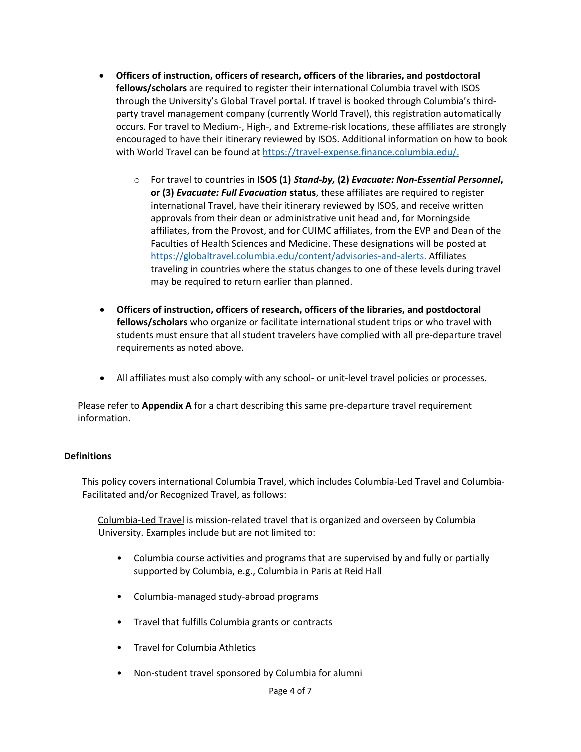- **Officers of instruction, officers of research, officers of the libraries, and postdoctoral fellows/scholars** are required to register their international Columbia travel with ISOS through the University's Global Travel portal. If travel is booked through Columbia's thirdparty travel management company (currently World Travel), this registration automatically occurs. For travel to Medium-, High-, and Extreme-risk locations, these affiliates are strongly encouraged to have their itinerary reviewed by ISOS. Additional information on how to book with World Travel can be found at [https://travel-expense.finance.columbia.edu/.](https://travel-expense.finance.columbia.edu/)
	- o For travel to countries in **ISOS (1)** *Stand-by,* **(2)** *Evacuate: Non-Essential Personnel***, or (3)** *Evacuate: Full Evacuation* **status**, these affiliates are required to register international Travel, have their itinerary reviewed by ISOS, and receive written approvals from their dean or administrative unit head and, for Morningside affiliates, from the Provost, and for CUIMC affiliates, from the EVP and Dean of the Faculties of Health Sciences and Medicine. These designations will be posted at [https://globaltravel.columbia.edu/content/advisories-and-alerts.](https://globaltravel.columbia.edu/content/advisories-and-alerts) Affiliates traveling in countries where the status changes to one of these levels during travel may be required to return earlier than planned.
- **Officers of instruction, officers of research, officers of the libraries, and postdoctoral fellows/scholars** who organize or facilitate international student trips or who travel with students must ensure that all student travelers have complied with all pre-departure travel requirements as noted above.
- All affiliates must also comply with any school- or unit-level travel policies or processes.

Please refer to **Appendix A** for a chart describing this same pre-departure travel requirement information.

#### **Definitions**

This policy covers international Columbia Travel, which includes Columbia-Led Travel and Columbia-Facilitated and/or Recognized Travel, as follows:

Columbia-Led Travel is mission-related travel that is organized and overseen by Columbia University. Examples include but are not limited to:

- Columbia course activities and programs that are supervised by and fully or partially supported by Columbia, e.g., Columbia in Paris at Reid Hall
- Columbia-managed study-abroad programs
- Travel that fulfills Columbia grants or contracts
- Travel for Columbia Athletics
- Non-student travel sponsored by Columbia for alumni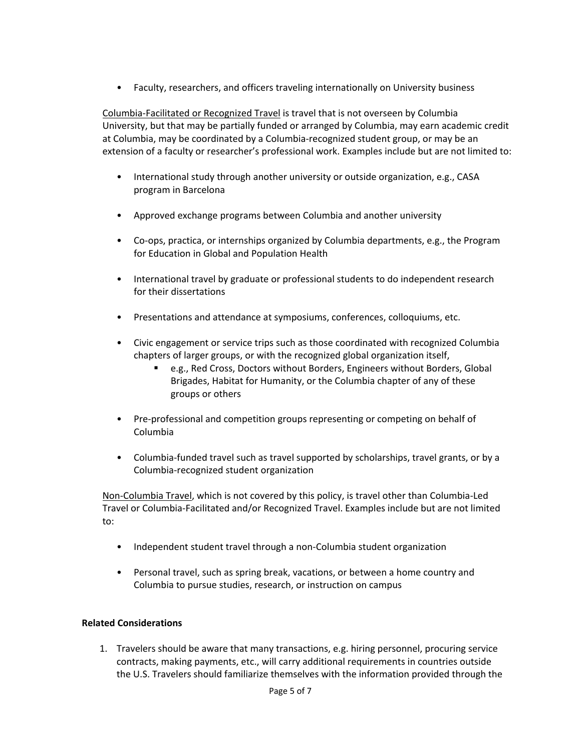• Faculty, researchers, and officers traveling internationally on University business

Columbia-Facilitated or Recognized Travel is travel that is not overseen by Columbia University, but that may be partially funded or arranged by Columbia, may earn academic credit at Columbia, may be coordinated by a Columbia-recognized student group, or may be an extension of a faculty or researcher's professional work. Examples include but are not limited to:

- International study through another university or outside organization, e.g., CASA program in Barcelona
- Approved exchange programs between Columbia and another university
- Co-ops, practica, or internships organized by Columbia departments, e.g., the Program for Education in Global and Population Health
- International travel by graduate or professional students to do independent research for their dissertations
- Presentations and attendance at symposiums, conferences, colloquiums, etc.
- Civic engagement or service trips such as those coordinated with recognized Columbia chapters of larger groups, or with the recognized global organization itself,
	- e.g., Red Cross, Doctors without Borders, Engineers without Borders, Global Brigades, Habitat for Humanity, or the Columbia chapter of any of these groups or others
- Pre-professional and competition groups representing or competing on behalf of Columbia
- Columbia-funded travel such as travel supported by scholarships, travel grants, or by a Columbia-recognized student organization

Non-Columbia Travel, which is not covered by this policy, is travel other than Columbia-Led Travel or Columbia-Facilitated and/or Recognized Travel. Examples include but are not limited to:

- Independent student travel through a non-Columbia student organization
- Personal travel, such as spring break, vacations, or between a home country and Columbia to pursue studies, research, or instruction on campus

## **Related Considerations**

1. Travelers should be aware that many transactions, e.g. hiring personnel, procuring service contracts, making payments, etc., will carry additional requirements in countries outside the U.S. Travelers should familiarize themselves with the information provided through the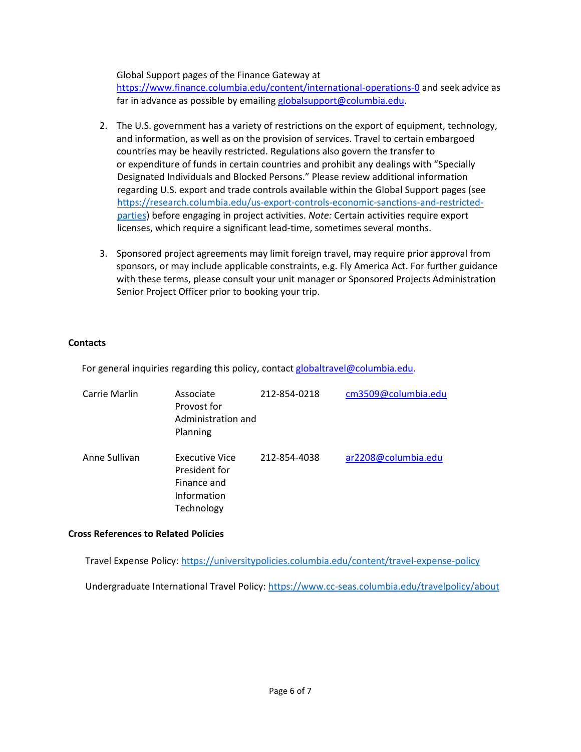Global Support pages of the Finance Gateway at

<https://www.finance.columbia.edu/content/international-operations-0> and seek advice as far in advance as possible by emailing globalsupport@columbia.edu.

- 2. The U.S. government has a variety of restrictions on the export of equipment, technology, and information, as well as on the provision of services. Travel to certain embargoed countries may be heavily restricted. Regulations also govern the transfer to or expenditure of funds in certain countries and prohibit any dealings with "Specially Designated Individuals and Blocked Persons." Please review additional information regarding U.S. export and trade controls available within the Global Support pages (see [https://research.columbia.edu/us-export-controls-economic-sanctions-and-restricted](https://research.columbia.edu/us-export-controls-economic-sanctions-and-restricted-parties)[parties](https://research.columbia.edu/us-export-controls-economic-sanctions-and-restricted-parties)[\)](http://finance.columbia.edu/content/us-export-controls-transferring-technology-commodities-and-software-gs) before engaging in project activities. *Note:* Certain activities require export licenses, which require a significant lead-time, sometimes several months.
- 3. Sponsored project agreements may limit foreign travel, may require prior approval from sponsors, or may include applicable constraints, e.g. Fly America Act. For further guidance with these terms, please consult your unit manager or Sponsored Projects Administration Senior Project Officer prior to booking your trip.

### **Contacts**

For general inquiries regarding this policy, contact globaltravel@columbia.edu.

| Carrie Marlin | Associate<br>Provost for<br>Administration and<br>Planning                         | 212-854-0218 | cm3509@columbia.edu |
|---------------|------------------------------------------------------------------------------------|--------------|---------------------|
| Anne Sullivan | <b>Executive Vice</b><br>President for<br>Finance and<br>Information<br>Technology | 212-854-4038 | ar2208@columbia.edu |

#### **Cross References to Related Policies**

Travel Expense Policy:<https://universitypolicies.columbia.edu/content/travel-expense-policy>

Undergraduate International Travel Policy:<https://www.cc-seas.columbia.edu/travelpolicy/about>